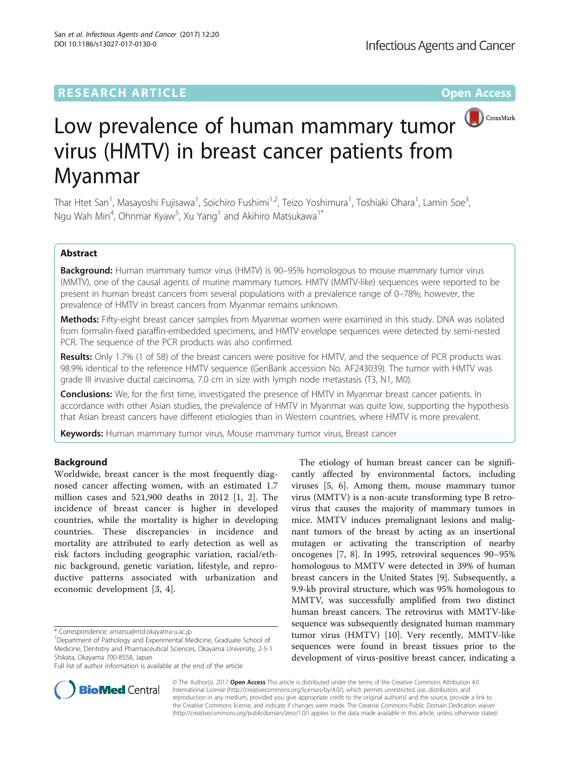## **RESEARCH ARTICLE Example 2018 12:00 THE Open Access**



# Low prevalence of human mammary tumor **D**CrossMark virus (HMTV) in breast cancer patients from Myanmar

Thar Htet San<sup>1</sup>, Masayoshi Fujisawa<sup>1</sup>, Soichiro Fushimi<sup>1,2</sup>, Teizo Yoshimura<sup>1</sup>, Toshiaki Ohara<sup>1</sup>, Lamin Soe<sup>3</sup> , Ngu Wah Min $^4$ , Ohnmar Kyaw $^5$ , Xu Yang $^1$  and Akihiro Matsukawa $^1{}^*$ 

## Abstract

Background: Human mammary tumor virus (HMTV) is 90-95% homologous to mouse mammary tumor virus (MMTV), one of the causal agents of murine mammary tumors. HMTV (MMTV-like) sequences were reported to be present in human breast cancers from several populations with a prevalence range of 0–78%; however, the prevalence of HMTV in breast cancers from Myanmar remains unknown.

Methods: Fifty-eight breast cancer samples from Myanmar women were examined in this study. DNA was isolated from formalin-fixed paraffin-embedded specimens, and HMTV envelope sequences were detected by semi-nested PCR. The sequence of the PCR products was also confirmed.

Results: Only 1.7% (1 of 58) of the breast cancers were positive for HMTV, and the sequence of PCR products was 98.9% identical to the reference HMTV sequence (GenBank accession No. AF243039). The tumor with HMTV was grade III invasive ductal carcinoma, 7.0 cm in size with lymph node metastasis (T3, N1, M0).

**Conclusions:** We, for the first time, investigated the presence of HMTV in Myanmar breast cancer patients. In accordance with other Asian studies, the prevalence of HMTV in Myanmar was quite low, supporting the hypothesis that Asian breast cancers have different etiologies than in Western countries, where HMTV is more prevalent.

Keywords: Human mammary tumor virus, Mouse mammary tumor virus, Breast cancer

## Background

Worldwide, breast cancer is the most frequently diagnosed cancer affecting women, with an estimated 1.7 million cases and 521,900 deaths in 2012 [[1, 2\]](#page-5-0). The incidence of breast cancer is higher in developed countries, while the mortality is higher in developing countries. These discrepancies in incidence and mortality are attributed to early detection as well as risk factors including geographic variation, racial/ethnic background, genetic variation, lifestyle, and reproductive patterns associated with urbanization and economic development [[3, 4\]](#page-5-0).

Full list of author information is available at the end of the article

The etiology of human breast cancer can be significantly affected by environmental factors, including viruses [\[5](#page-5-0), [6\]](#page-5-0). Among them, mouse mammary tumor virus (MMTV) is a non-acute transforming type B retrovirus that causes the majority of mammary tumors in mice. MMTV induces premalignant lesions and malignant tumors of the breast by acting as an insertional mutagen or activating the transcription of nearby oncogenes [[7, 8\]](#page-5-0). In 1995, retroviral sequences 90–95% homologous to MMTV were detected in 39% of human breast cancers in the United States [[9\]](#page-5-0). Subsequently, a 9.9-kb proviral structure, which was 95% homologous to MMTV, was successfully amplified from two distinct human breast cancers. The retrovirus with MMTV-like sequence was subsequently designated human mammary tumor virus (HMTV) [\[10](#page-5-0)]. Very recently, MMTV-like sequences were found in breast tissues prior to the development of virus-positive breast cancer, indicating a



© The Author(s). 2017 **Open Access** This article is distributed under the terms of the Creative Commons Attribution 4.0 International License [\(http://creativecommons.org/licenses/by/4.0/](http://creativecommons.org/licenses/by/4.0/)), which permits unrestricted use, distribution, and reproduction in any medium, provided you give appropriate credit to the original author(s) and the source, provide a link to the Creative Commons license, and indicate if changes were made. The Creative Commons Public Domain Dedication waiver [\(http://creativecommons.org/publicdomain/zero/1.0/](http://creativecommons.org/publicdomain/zero/1.0/)) applies to the data made available in this article, unless otherwise stated.

<sup>\*</sup> Correspondence: [amatsu@md.okayama-u.ac.jp](mailto:amatsu@md.okayama-u.ac.jp) <sup>1</sup>

<sup>&</sup>lt;sup>1</sup>Department of Pathology and Experimental Medicine, Graduate School of Medicine, Dentistry and Pharmaceutical Sciences, Okayama University, 2-5-1 Shikata, Okayama 700-8558, Japan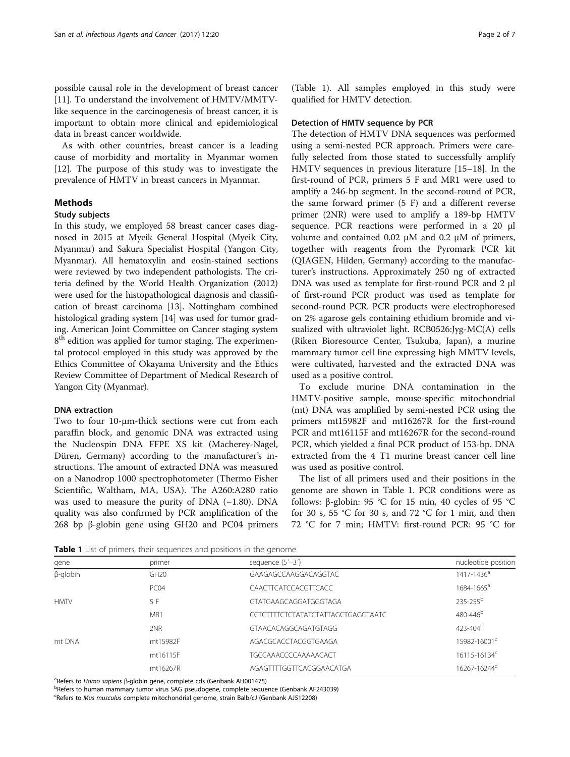possible causal role in the development of breast cancer [[11\]](#page-5-0). To understand the involvement of HMTV/MMTVlike sequence in the carcinogenesis of breast cancer, it is important to obtain more clinical and epidemiological data in breast cancer worldwide.

As with other countries, breast cancer is a leading cause of morbidity and mortality in Myanmar women [[12\]](#page-5-0). The purpose of this study was to investigate the prevalence of HMTV in breast cancers in Myanmar.

#### Methods

#### Study subjects

In this study, we employed 58 breast cancer cases diagnosed in 2015 at Myeik General Hospital (Myeik City, Myanmar) and Sakura Specialist Hospital (Yangon City, Myanmar). All hematoxylin and eosin-stained sections were reviewed by two independent pathologists. The criteria defined by the World Health Organization (2012) were used for the histopathological diagnosis and classification of breast carcinoma [[13](#page-5-0)]. Nottingham combined histological grading system [\[14](#page-5-0)] was used for tumor grading. American Joint Committee on Cancer staging system 8<sup>th</sup> edition was applied for tumor staging. The experimental protocol employed in this study was approved by the Ethics Committee of Okayama University and the Ethics Review Committee of Department of Medical Research of Yangon City (Myanmar).

#### DNA extraction

Two to four 10-μm-thick sections were cut from each paraffin block, and genomic DNA was extracted using the Nucleospin DNA FFPE XS kit (Macherey-Nagel, Düren, Germany) according to the manufacturer's instructions. The amount of extracted DNA was measured on a Nanodrop 1000 spectrophotometer (Thermo Fisher Scientific, Waltham, MA, USA). The A260:A280 ratio was used to measure the purity of DNA  $(-1.80)$ . DNA quality was also confirmed by PCR amplification of the 268 bp β-globin gene using GH20 and PC04 primers

(Table 1). All samples employed in this study were qualified for HMTV detection.

#### Detection of HMTV sequence by PCR

The detection of HMTV DNA sequences was performed using a semi-nested PCR approach. Primers were carefully selected from those stated to successfully amplify HMTV sequences in previous literature [\[15](#page-5-0)–[18\]](#page-5-0). In the first-round of PCR, primers 5 F and MR1 were used to amplify a 246-bp segment. In the second-round of PCR, the same forward primer (5 F) and a different reverse primer (2NR) were used to amplify a 189-bp HMTV sequence. PCR reactions were performed in a 20 μl volume and contained 0.02 μM and 0.2 μM of primers, together with reagents from the Pyromark PCR kit (QIAGEN, Hilden, Germany) according to the manufacturer's instructions. Approximately 250 ng of extracted DNA was used as template for first-round PCR and 2 μl of first-round PCR product was used as template for second-round PCR. PCR products were electrophoresed on 2% agarose gels containing ethidium bromide and visualized with ultraviolet light. RCB0526:Jyg-MC(A) cells (Riken Bioresource Center, Tsukuba, Japan), a murine mammary tumor cell line expressing high MMTV levels, were cultivated, harvested and the extracted DNA was used as a positive control.

To exclude murine DNA contamination in the HMTV-positive sample, mouse-specific mitochondrial (mt) DNA was amplified by semi-nested PCR using the primers mt15982F and mt16267R for the first-round PCR and mt16115F and mt16267R for the second-round PCR, which yielded a final PCR product of 153-bp. DNA extracted from the 4 T1 murine breast cancer cell line was used as positive control.

The list of all primers used and their positions in the genome are shown in Table 1. PCR conditions were as follows: β-globin: 95 °C for 15 min, 40 cycles of 95 °C for 30 s, 55 °C for 30 s, and 72 °C for 1 min, and then 72 °C for 7 min; HMTV: first-round PCR: 95 °C for

**Table 1** List of primers, their sequences and positions in the genome

| gene        | primer           | sequence $(5^{\prime}-3^{\prime})$        | nucleotide position      |
|-------------|------------------|-------------------------------------------|--------------------------|
| β-globin    | GH20             | GAAGAGCCAAGGACAGGTAC                      | $1417 - 1436^a$          |
|             | PC <sub>04</sub> | CAACTTCATCCACGTTCACC                      | 1684-1665 <sup>a</sup>   |
| <b>HMTV</b> | 5 F              | GTATGAAGCAGGATGGGTAGA                     | $235 - 255^b$            |
|             | MR1              | <b>CCTCTTTTCTCTATATCTATTAGCTGAGGTAATC</b> | 480-446 <sup>b</sup>     |
|             | 2NR              | GTAACACAGGCAGATGTAGG                      | $423 - 404^{b}$          |
| mt DNA      | mt15982F         | AGACGCACCTACGGTGAAGA                      | 15982-16001 <sup>c</sup> |
|             | mt16115F         | <b>TGCCAAACCCCAAAAACACT</b>               | 16115-16134 <sup>c</sup> |
|             | mt16267R         | AGAGTTTTGGTTCACGGAACATGA                  | 16267-16244 <sup>c</sup> |

<sup>a</sup>Refers to *Homo sapiens* β-globin gene, complete cds (Genbank AH001475)<br><sup>b</sup>Refers to buman mammary tumor virus SAG psoudogene, complete soque

<sup>b</sup>Refers to human mammary tumor virus SAG pseudogene, complete sequence (Genbank AF243039)

Refers to Mus musculus complete mitochondrial genome, strain Balb/cJ (Genbank AJ512208)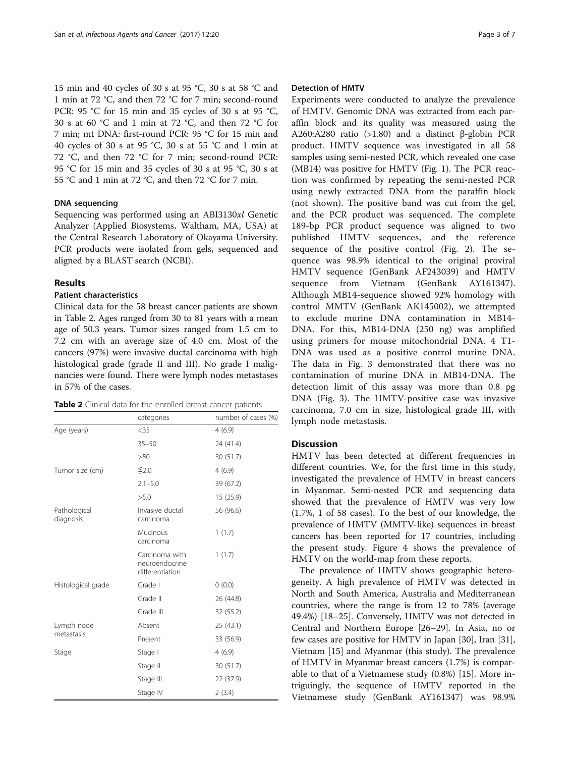15 min and 40 cycles of 30 s at 95 °C, 30 s at 58 °C and 1 min at 72 °C, and then 72 °C for 7 min; second-round PCR: 95 °C for 15 min and 35 cycles of 30 s at 95 °C, 30 s at 60 °C and 1 min at 72 °C, and then 72 °C for 7 min; mt DNA: first-round PCR: 95 °C for 15 min and 40 cycles of 30 s at 95 °C, 30 s at 55 °C and 1 min at 72 °C, and then 72 °C for 7 min; second-round PCR: 95 °C for 15 min and 35 cycles of 30 s at 95 °C, 30 s at 55 °C and 1 min at 72 °C, and then 72 °C for 7 min.

#### DNA sequencing

Sequencing was performed using an ABI3130xl Genetic Analyzer (Applied Biosystems, Waltham, MA, USA) at the Central Research Laboratory of Okayama University. PCR products were isolated from gels, sequenced and aligned by a BLAST search (NCBI).

#### Results

#### Patient characteristics

Clinical data for the 58 breast cancer patients are shown in Table 2. Ages ranged from 30 to 81 years with a mean age of 50.3 years. Tumor sizes ranged from 1.5 cm to 7.2 cm with an average size of 4.0 cm. Most of the cancers (97%) were invasive ductal carcinoma with high histological grade (grade II and III). No grade I malignancies were found. There were lymph nodes metastases in 57% of the cases.

| Table 2 Clinical data for the enrolled breast cancer patients |  |  |  |  |  |
|---------------------------------------------------------------|--|--|--|--|--|
|---------------------------------------------------------------|--|--|--|--|--|

|                           | categories                                          | number of cases (%) |
|---------------------------|-----------------------------------------------------|---------------------|
| Age (years)               | $<$ 35                                              | 4(6.9)              |
|                           | $35 - 50$                                           | 24 (41.4)           |
|                           | >50                                                 | 30 (51.7)           |
| Tumor size (cm)           | $\leq$ 2.0                                          | 4(6.9)              |
|                           | $2.1 - 5.0$                                         | 39 (67.2)           |
|                           | >5.0                                                | 15 (25.9)           |
| Pathological<br>diagnosis | Invasive ductal<br>carcinoma                        | 56 (96.6)           |
|                           | Mucinous<br>carcinoma                               | 1(1.7)              |
|                           | Carcinoma with<br>neuroendocrine<br>differentiation | 1(1.7)              |
| Histological grade        | Grade I                                             | 0(0.0)              |
|                           | Grade II                                            | 26 (44.8)           |
|                           | Grade III                                           | 32 (55.2)           |
| Lymph node                | Absent                                              | 25(43.1)            |
| metastasis                | Present                                             | 33 (56.9)           |
| Stage                     | Stage I                                             | 4(6.9)              |
|                           | Stage II                                            | 30 (51.7)           |
|                           | Stage III                                           | 22 (37.9)           |
|                           | Stage IV                                            | 2(3.4)              |

#### Detection of HMTV

Experiments were conducted to analyze the prevalence of HMTV. Genomic DNA was extracted from each paraffin block and its quality was measured using the A260:A280 ratio (>1.80) and a distinct β-globin PCR product. HMTV sequence was investigated in all 58 samples using semi-nested PCR, which revealed one case (MB14) was positive for HMTV (Fig. [1\)](#page-3-0). The PCR reaction was confirmed by repeating the semi-nested PCR using newly extracted DNA from the paraffin block (not shown). The positive band was cut from the gel, and the PCR product was sequenced. The complete 189-bp PCR product sequence was aligned to two published HMTV sequences, and the reference sequence of the positive control (Fig. [2\)](#page-3-0). The sequence was 98.9% identical to the original proviral HMTV sequence (GenBank AF243039) and HMTV sequence from Vietnam (GenBank AY161347). Although MB14-sequence showed 92% homology with control MMTV (GenBank AK145002), we attempted to exclude murine DNA contamination in MB14- DNA. For this, MB14-DNA (250 ng) was amplified using primers for mouse mitochondrial DNA. 4 T1- DNA was used as a positive control murine DNA. The data in Fig. [3](#page-3-0) demonstrated that there was no contamination of murine DNA in MB14-DNA. The detection limit of this assay was more than 0.8 pg DNA (Fig. [3\)](#page-3-0). The HMTV-positive case was invasive carcinoma, 7.0 cm in size, histological grade III, with lymph node metastasis.

#### **Discussion**

HMTV has been detected at different frequencies in different countries. We, for the first time in this study, investigated the prevalence of HMTV in breast cancers in Myanmar. Semi-nested PCR and sequencing data showed that the prevalence of HMTV was very low (1.7%, 1 of 58 cases). To the best of our knowledge, the prevalence of HMTV (MMTV-like) sequences in breast cancers has been reported for 17 countries, including the present study. Figure [4](#page-4-0) shows the prevalence of HMTV on the world-map from these reports.

The prevalence of HMTV shows geographic heterogeneity. A high prevalence of HMTV was detected in North and South America, Australia and Mediterranean countries, where the range is from 12 to 78% (average 49.4%) [\[18](#page-5-0)–[25\]](#page-5-0). Conversely, HMTV was not detected in Central and Northern Europe [\[26](#page-5-0)–[29\]](#page-5-0). In Asia, no or few cases are positive for HMTV in Japan [\[30](#page-5-0)], Iran [\[31](#page-5-0)], Vietnam [\[15\]](#page-5-0) and Myanmar (this study). The prevalence of HMTV in Myanmar breast cancers (1.7%) is comparable to that of a Vietnamese study (0.8%) [[15](#page-5-0)]. More intriguingly, the sequence of HMTV reported in the Vietnamese study (GenBank AY161347) was 98.9%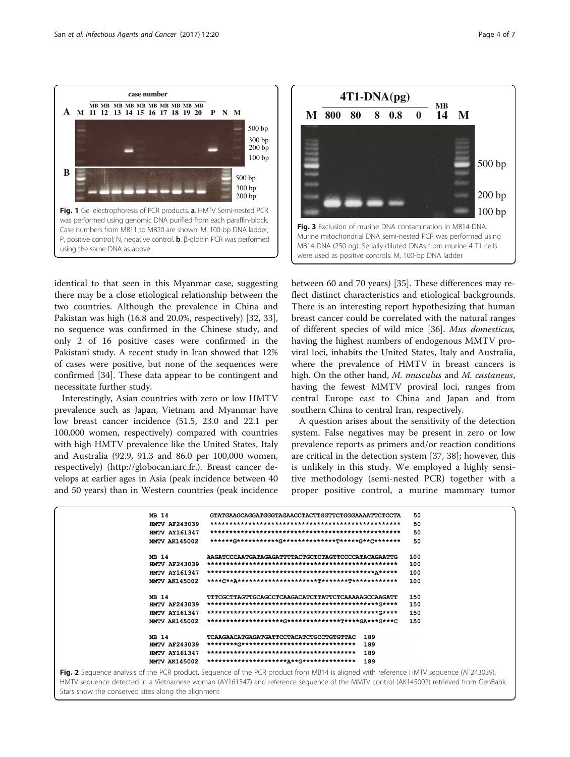<span id="page-3-0"></span>

identical to that seen in this Myanmar case, suggesting there may be a close etiological relationship between the two countries. Although the prevalence in China and Pakistan was high (16.8 and 20.0%, respectively) [\[32](#page-5-0), [33](#page-5-0)], no sequence was confirmed in the Chinese study, and only 2 of 16 positive cases were confirmed in the Pakistani study. A recent study in Iran showed that 12% of cases were positive, but none of the sequences were confirmed [\[34](#page-5-0)]. These data appear to be contingent and necessitate further study.

Interestingly, Asian countries with zero or low HMTV prevalence such as Japan, Vietnam and Myanmar have low breast cancer incidence (51.5, 23.0 and 22.1 per 100,000 women, respectively) compared with countries with high HMTV prevalence like the United States, Italy and Australia (92.9, 91.3 and 86.0 per 100,000 women, respectively) [\(http://globocan.iarc.fr](http://globocan.iarc.fr/).). Breast cancer develops at earlier ages in Asia (peak incidence between 40 and 50 years) than in Western countries (peak incidence



between 60 and 70 years) [[35\]](#page-5-0). These differences may reflect distinct characteristics and etiological backgrounds. There is an interesting report hypothesizing that human breast cancer could be correlated with the natural ranges of different species of wild mice [\[36\]](#page-5-0). Mus domesticus, having the highest numbers of endogenous MMTV proviral loci, inhabits the United States, Italy and Australia, where the prevalence of HMTV in breast cancers is high. On the other hand, M. musculus and M. castaneus, having the fewest MMTV proviral loci, ranges from central Europe east to China and Japan and from southern China to central Iran, respectively.

A question arises about the sensitivity of the detection system. False negatives may be present in zero or low prevalence reports as primers and/or reaction conditions are critical in the detection system [\[37, 38\]](#page-5-0); however, this is unlikely in this study. We employed a highly sensitive methodology (semi-nested PCR) together with a proper positive control, a murine mammary tumor

| MB 14                | GTATGAAGCAGGATGGGTAGAACCTACTTGGTTCTGGGAAAATTCTCCTA                                                                                            |     | 50  |
|----------------------|-----------------------------------------------------------------------------------------------------------------------------------------------|-----|-----|
| <b>HMTV AF243039</b> |                                                                                                                                               |     | 50  |
| <b>HMTV AY161347</b> |                                                                                                                                               |     | 50  |
| <b>MMTV AK145002</b> |                                                                                                                                               |     | 50  |
|                      |                                                                                                                                               |     |     |
| MB 14                | AAGATCCCAATGATAGAGATTTTACTGCTCTAGTTCCCCATACAGAATTG                                                                                            |     | 100 |
| <b>HMTV AF243039</b> |                                                                                                                                               |     | 100 |
| <b>HMTV AY161347</b> |                                                                                                                                               |     | 100 |
| <b>MMTV AK145002</b> |                                                                                                                                               |     | 100 |
|                      |                                                                                                                                               |     |     |
| MB 14                | TTTCGCTTAGTTGCAGCCTCAAGACATCTTATTCTCAAAAAGCCAAGATT                                                                                            |     | 150 |
| <b>HMTV AF243039</b> |                                                                                                                                               |     | 150 |
| <b>HMTV AY161347</b> |                                                                                                                                               |     | 150 |
| <b>MMTV AK145002</b> |                                                                                                                                               |     | 150 |
|                      |                                                                                                                                               |     |     |
| MB 14                | <b>TCAAGAACATGAGATGATTCCTACATCTGCCTGTGTTAC</b>                                                                                                | 189 |     |
| <b>HMTV AF243039</b> |                                                                                                                                               | 189 |     |
| <b>HMTV AY161347</b> |                                                                                                                                               | 189 |     |
| <b>MMTV AK145002</b> |                                                                                                                                               | 189 |     |
|                      | <b>Fig. 2</b> Sequence analysis of the PCR product. Sequence of the PCR product from MB14 is aligned with reference HMTV sequence (AF243039), |     |     |

HMTV sequence detected in a Vietnamese woman (AY161347) and reference sequence of the MMTV control (AK145002) retrieved from GenBank. Stars show the conserved sites along the alignment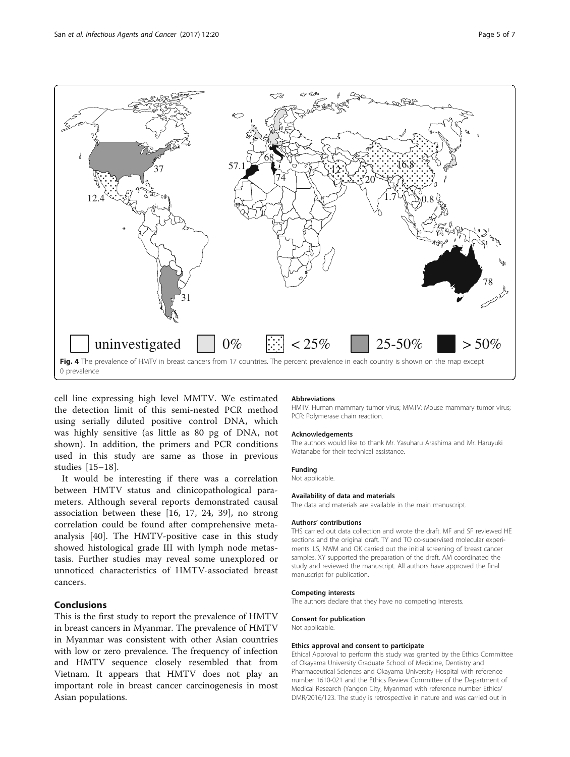<span id="page-4-0"></span>

cell line expressing high level MMTV. We estimated the detection limit of this semi-nested PCR method using serially diluted positive control DNA, which was highly sensitive (as little as 80 pg of DNA, not shown). In addition, the primers and PCR conditions used in this study are same as those in previous studies [[15](#page-5-0)–[18\]](#page-5-0).

It would be interesting if there was a correlation between HMTV status and clinicopathological parameters. Although several reports demonstrated causal association between these [\[16, 17, 24,](#page-5-0) [39](#page-6-0)], no strong correlation could be found after comprehensive metaanalysis [\[40](#page-6-0)]. The HMTV-positive case in this study showed histological grade III with lymph node metastasis. Further studies may reveal some unexplored or unnoticed characteristics of HMTV-associated breast cancers.

### Conclusions

This is the first study to report the prevalence of HMTV in breast cancers in Myanmar. The prevalence of HMTV in Myanmar was consistent with other Asian countries with low or zero prevalence. The frequency of infection and HMTV sequence closely resembled that from Vietnam. It appears that HMTV does not play an important role in breast cancer carcinogenesis in most Asian populations.

#### Abbreviations

HMTV: Human mammary tumor virus; MMTV: Mouse mammary tumor virus; PCR: Polymerase chain reaction.

#### Acknowledgements

The authors would like to thank Mr. Yasuharu Arashima and Mr. Haruyuki Watanabe for their technical assistance.

#### Funding

Not applicable.

#### Availability of data and materials

The data and materials are available in the main manuscript.

#### Authors' contributions

THS carried out data collection and wrote the draft. MF and SF reviewed HE sections and the original draft. TY and TO co-supervised molecular experiments. LS, NWM and OK carried out the initial screening of breast cancer samples. XY supported the preparation of the draft. AM coordinated the study and reviewed the manuscript. All authors have approved the final manuscript for publication.

#### Competing interests

The authors declare that they have no competing interests.

#### Consent for publication

Not applicable.

#### Ethics approval and consent to participate

Ethical Approval to perform this study was granted by the Ethics Committee of Okayama University Graduate School of Medicine, Dentistry and Pharmaceutical Sciences and Okayama University Hospital with reference number 1610-021 and the Ethics Review Committee of the Department of Medical Research (Yangon City, Myanmar) with reference number Ethics/ DMR/2016/123. The study is retrospective in nature and was carried out in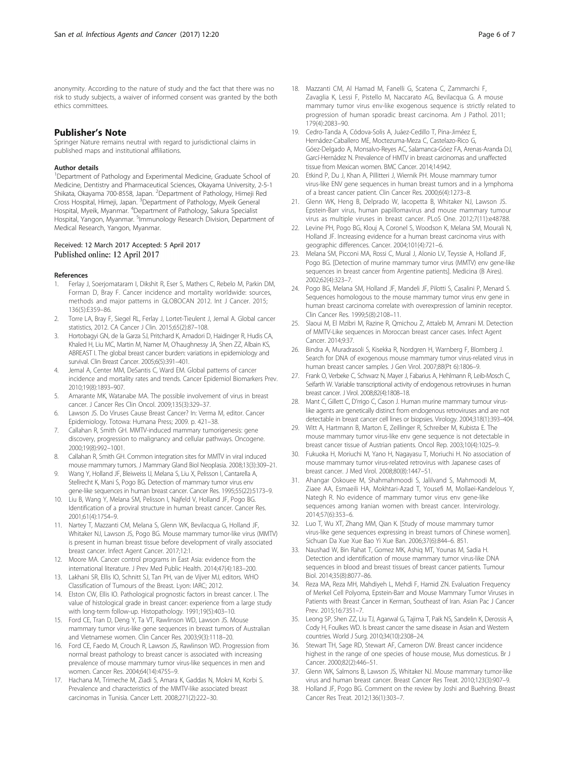<span id="page-5-0"></span>anonymity. According to the nature of study and the fact that there was no risk to study subjects, a waiver of informed consent was granted by the both ethics committees.

#### Publisher's Note

Springer Nature remains neutral with regard to jurisdictional claims in published maps and institutional affiliations.

#### Author details

<sup>1</sup>Department of Pathology and Experimental Medicine, Graduate School of Medicine, Dentistry and Pharmaceutical Sciences, Okayama University, 2-5-1 Shikata, Okayama 700-8558, Japan. <sup>2</sup>Department of Pathology, Himeji Red Cross Hospital, Himeji, Japan. <sup>3</sup>Department of Pathology, Myeik General Hospital, Myeik, Myanmar. <sup>4</sup>Department of Pathology, Sakura Specialist Hospital, Yangon, Myanmar. <sup>5</sup>Immunology Research Division, Department of Medical Research, Yangon, Myanmar.

#### Received: 12 March 2017 Accepted: 5 April 2017 Published online: 12 April 2017

#### References

- 1. Ferlay J, Soerjomataram I, Dikshit R, Eser S, Mathers C, Rebelo M, Parkin DM, Forman D, Bray F. Cancer incidence and mortality worldwide: sources, methods and major patterns in GLOBOCAN 2012. Int J Cancer. 2015; 136(5):E359–86.
- 2. Torre LA, Bray F, Siegel RL, Ferlay J, Lortet-Tieulent J, Jemal A. Global cancer statistics, 2012. CA Cancer J Clin. 2015;65(2):87–108.
- 3. Hortobagyi GN, de la Garza SJ, Pritchard K, Amadori D, Haidinger R, Hudis CA, Khaled H, Liu MC, Martin M, Namer M, O'haughnessy JA, Shen ZZ, Albain KS, ABREAST I. The global breast cancer burden: variations in epidemiology and survival. Clin Breast Cancer. 2005;6(5):391–401.
- Jemal A, Center MM, DeSantis C, Ward EM. Global patterns of cancer incidence and mortality rates and trends. Cancer Epidemiol Biomarkers Prev. 2010;19(8):1893–907.
- 5. Amarante MK, Watanabe MA. The possible involvement of virus in breast cancer. J Cancer Res Clin Oncol. 2009;135(3):329–37.
- 6. Lawson JS. Do Viruses Cause Breast Cancer? In: Verma M, editor. Cancer Epidemiology. Totowa: Humana Press; 2009. p. 421–38.
- 7. Callahan R, Smith GH. MMTV-induced mammary tumorigenesis: gene discovery, progression to malignancy and cellular pathways. Oncogene. 2000;19(8):992–1001.
- 8. Callahan R, Smith GH. Common integration sites for MMTV in viral induced mouse mammary tumors. J Mammary Gland Biol Neoplasia. 2008;13(3):309–21.
- 9. Wang Y, Holland JF, Bleiweiss IJ, Melana S, Liu X, Pelisson I, Cantarella A, Stellrecht K, Mani S, Pogo BG. Detection of mammary tumor virus env gene-like sequences in human breast cancer. Cancer Res. 1995;55(22):5173–9.
- 10. Liu B, Wang Y, Melana SM, Pelisson I, Najfeld V, Holland JF, Pogo BG. Identification of a proviral structure in human breast cancer. Cancer Res. 2001;61(4):1754–9.
- 11. Nartey T, Mazzanti CM, Melana S, Glenn WK, Bevilacqua G, Holland JF, Whitaker NJ, Lawson JS, Pogo BG. Mouse mammary tumor-like virus (MMTV) is present in human breast tissue before development of virally associated breast cancer. Infect Agent Cancer. 2017;12:1.
- 12. Moore MA. Cancer control programs in East Asia: evidence from the international literature. J Prev Med Public Health. 2014;47(4):183–200.
- 13. Lakhani SR, Ellis IO, Schnitt SJ, Tan PH, van de Vijver MJ, editors. WHO Classification of Tumours of the Breast. Lyon: IARC; 2012.
- 14. Elston CW, Ellis IO. Pathological prognostic factors in breast cancer. I. The value of histological grade in breast cancer: experience from a large study with long-term follow-up. Histopathology. 1991;19(5):403–10.
- 15. Ford CE, Tran D, Deng Y, Ta VT, Rawlinson WD, Lawson JS. Mouse mammary tumor virus-like gene sequences in breast tumors of Australian and Vietnamese women. Clin Cancer Res. 2003;9(3):1118–20.
- 16. Ford CE, Faedo M, Crouch R, Lawson JS, Rawlinson WD. Progression from normal breast pathology to breast cancer is associated with increasing prevalence of mouse mammary tumor virus-like sequences in men and women. Cancer Res. 2004;64(14):4755–9.
- 17. Hachana M, Trimeche M, Ziadi S, Amara K, Gaddas N, Mokni M, Korbi S. Prevalence and characteristics of the MMTV-like associated breast carcinomas in Tunisia. Cancer Lett. 2008;271(2):222–30.
- 18. Mazzanti CM, Al Hamad M, Fanelli G, Scatena C, Zammarchi F, Zavaglia K, Lessi F, Pistello M, Naccarato AG, Bevilacqua G. A mouse mammary tumor virus env-like exogenous sequence is strictly related to progression of human sporadic breast carcinoma. Am J Pathol. 2011; 179(4):2083–90.
- 19. Cedro-Tanda A, Códova-Solis A, Juáez-Cedillo T, Pina-Jiméez E, Hernádez-Caballero ME, Moctezuma-Meza C, Castelazo-Rico G, Góez-Delgado A, Monsalvo-Reyes AC, Salamanca-Góez FA, Arenas-Aranda DJ, Garcí-Hernádez N. Prevalence of HMTV in breast carcinomas and unaffected tissue from Mexican women. BMC Cancer. 2014;14:942.
- 20. Etkind P, Du J, Khan A, Pillitteri J, Wiernik PH. Mouse mammary tumor virus-like ENV gene sequences in human breast tumors and in a lymphoma of a breast cancer patient. Clin Cancer Res. 2000;6(4):1273–8.
- 21. Glenn WK, Heng B, Delprado W, Iacopetta B, Whitaker NJ, Lawson JS. Epstein-Barr virus, human papillomavirus and mouse mammary tumour virus as multiple viruses in breast cancer. PLoS One. 2012;7(11):e48788.
- 22. Levine PH, Pogo BG, Klouj A, Coronel S, Woodson K, Melana SM, Mourali N, Holland JF. Increasing evidence for a human breast carcinoma virus with geographic differences. Cancer. 2004;101(4):721–6.
- 23. Melana SM, Picconi MA, Rossi C, Mural J, Alonio LV, Teyssie A, Holland JF, Pogo BG. [Detection of murine mammary tumor virus (MMTV) env gene-like sequences in breast cancer from Argentine patients]. Medicina (B Aires). 2002;62(4):323–7.
- 24. Pogo BG, Melana SM, Holland JF, Mandeli JF, Pilotti S, Casalini P, Menard S. Sequences homologous to the mouse mammary tumor virus env gene in human breast carcinoma correlate with overexpression of laminin receptor. Clin Cancer Res. 1999;5(8):2108–11.
- 25. Slaoui M, El Mzibri M, Razine R, Qmichou Z, Attaleb M, Amrani M. Detection of MMTV-Like sequences in Moroccan breast cancer cases. Infect Agent Cancer. 2014;9:37.
- 26. Bindra A, Muradrasoli S, Kisekka R, Nordgren H, Warnberg F, Blomberg J. Search for DNA of exogenous mouse mammary tumor virus-related virus in human breast cancer samples. J Gen Virol. 2007;88(Pt 6):1806–9.
- 27. Frank O, Verbeke C, Schwarz N, Mayer J, Fabarius A, Hehlmann R, Leib-Mosch C, Seifarth W. Variable transcriptional activity of endogenous retroviruses in human breast cancer. J Virol. 2008;82(4):1808–18.
- 28. Mant C, Gillett C, D'rrigo C, Cason J. Human murine mammary tumour viruslike agents are genetically distinct from endogenous retroviruses and are not detectable in breast cancer cell lines or biopsies. Virology. 2004;318(1):393–404.
- 29. Witt A, Hartmann B, Marton E, Zeillinger R, Schreiber M, Kubista E. The mouse mammary tumor virus-like env gene sequence is not detectable in breast cancer tissue of Austrian patients. Oncol Rep. 2003;10(4):1025–9.
- 30. Fukuoka H, Moriuchi M, Yano H, Nagayasu T, Moriuchi H. No association of mouse mammary tumor virus-related retrovirus with Japanese cases of breast cancer. J Med Virol. 2008;80(8):1447–51.
- 31. Ahangar Oskouee M, Shahmahmoodi S, Jalilvand S, Mahmoodi M, Ziaee AA, Esmaeili HA, Mokhtari-Azad T, Yousefi M, Mollaei-Kandelous Y, Nategh R. No evidence of mammary tumor virus env gene-like sequences among Iranian women with breast cancer. Intervirology. 2014;57(6):353–6.
- 32. Luo T, Wu XT, Zhang MM, Qian K. [Study of mouse mammary tumor virus-like gene sequences expressing in breast tumors of Chinese women]. Sichuan Da Xue Xue Bao Yi Xue Ban. 2006;37(6):844–6. 851.
- 33. Naushad W, Bin Rahat T, Gomez MK, Ashiq MT, Younas M, Sadia H. Detection and identification of mouse mammary tumor virus-like DNA sequences in blood and breast tissues of breast cancer patients. Tumour Biol. 2014;35(8):8077–86.
- 34. Reza MA, Reza MH, Mahdiyeh L, Mehdi F, Hamid ZN. Evaluation Frequency of Merkel Cell Polyoma, Epstein-Barr and Mouse Mammary Tumor Viruses in Patients with Breast Cancer in Kerman, Southeast of Iran. Asian Pac J Cancer Prev. 2015;16:7351–7.
- 35. Leong SP, Shen ZZ, Liu TJ, Agarwal G, Tajima T, Paik NS, Sandelin K, Derossis A, Cody H, Foulkes WD. Is breast cancer the same disease in Asian and Western countries. World J Surg. 2010;34(10):2308–24.
- 36. Stewart TH, Sage RD, Stewart AF, Cameron DW. Breast cancer incidence highest in the range of one species of house mouse, Mus domesticus. Br J Cancer. 2000;82(2):446–51.
- 37. Glenn WK, Salmons B, Lawson JS, Whitaker NJ. Mouse mammary tumor-like virus and human breast cancer. Breast Cancer Res Treat. 2010;123(3):907–9.
- 38. Holland JF, Pogo BG. Comment on the review by Joshi and Buehring. Breast Cancer Res Treat. 2012;136(1):303–7.